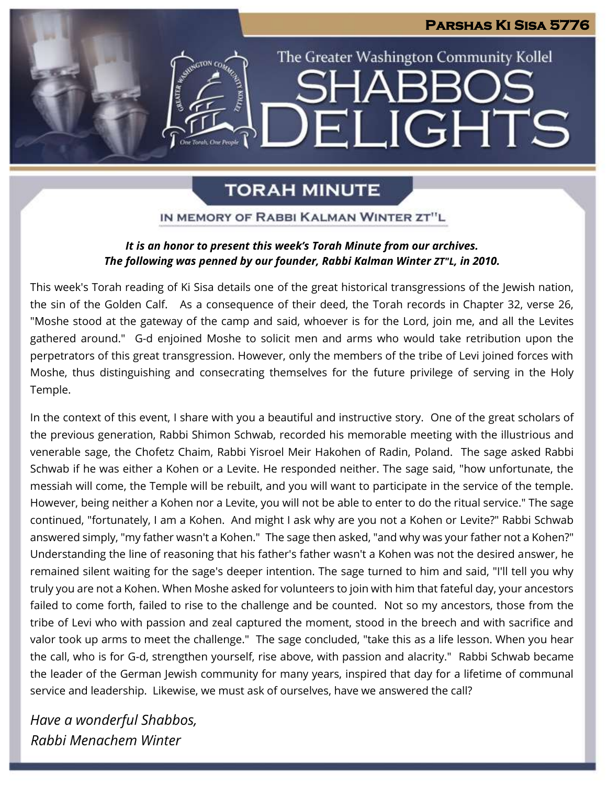# **Parshas Ki Sisa 5776** The Greater Washington Community Kollel SHARR( ELIGHTS

# **TORAH MINUTE**

# IN MEMORY OF RABBI KALMAN WINTER ZT"L

# *It is an honor to present this week's Torah Minute from our archives. The following was penned by our founder, Rabbi Kalman Winter ZT"L, in 2010.*

This week's Torah reading of Ki Sisa details one of the great historical transgressions of the Jewish nation, the sin of the Golden Calf. As a consequence of their deed, the Torah records in Chapter 32, verse 26, "Moshe stood at the gateway of the camp and said, whoever is for the Lord, join me, and all the Levites gathered around." G-d enjoined Moshe to solicit men and arms who would take retribution upon the perpetrators of this great transgression. However, only the members of the tribe of Levi joined forces with Moshe, thus distinguishing and consecrating themselves for the future privilege of serving in the Holy Temple.

In the context of this event, I share with you a beautiful and instructive story. One of the great scholars of the previous generation, Rabbi Shimon Schwab, recorded his memorable meeting with the illustrious and venerable sage, the Chofetz Chaim, Rabbi Yisroel Meir Hakohen of Radin, Poland. The sage asked Rabbi Schwab if he was either a Kohen or a Levite. He responded neither. The sage said, "how unfortunate, the messiah will come, the Temple will be rebuilt, and you will want to participate in the service of the temple. However, being neither a Kohen nor a Levite, you will not be able to enter to do the ritual service." The sage continued, "fortunately, I am a Kohen. And might I ask why are you not a Kohen or Levite?" Rabbi Schwab answered simply, "my father wasn't a Kohen." The sage then asked, "and why was your father not a Kohen?" Understanding the line of reasoning that his father's father wasn't a Kohen was not the desired answer, he remained silent waiting for the sage's deeper intention. The sage turned to him and said, "I'll tell you why truly you are not a Kohen. When Moshe asked for volunteers to join with him that fateful day, your ancestors failed to come forth, failed to rise to the challenge and be counted. Not so my ancestors, those from the tribe of Levi who with passion and zeal captured the moment, stood in the breech and with sacrifice and valor took up arms to meet the challenge." The sage concluded, "take this as a life lesson. When you hear the call, who is for G-d, strengthen yourself, rise above, with passion and alacrity." Rabbi Schwab became the leader of the German Jewish community for many years, inspired that day for a lifetime of communal service and leadership. Likewise, we must ask of ourselves, have we answered the call?

*Have a wonderful Shabbos, Rabbi Menachem Winter*